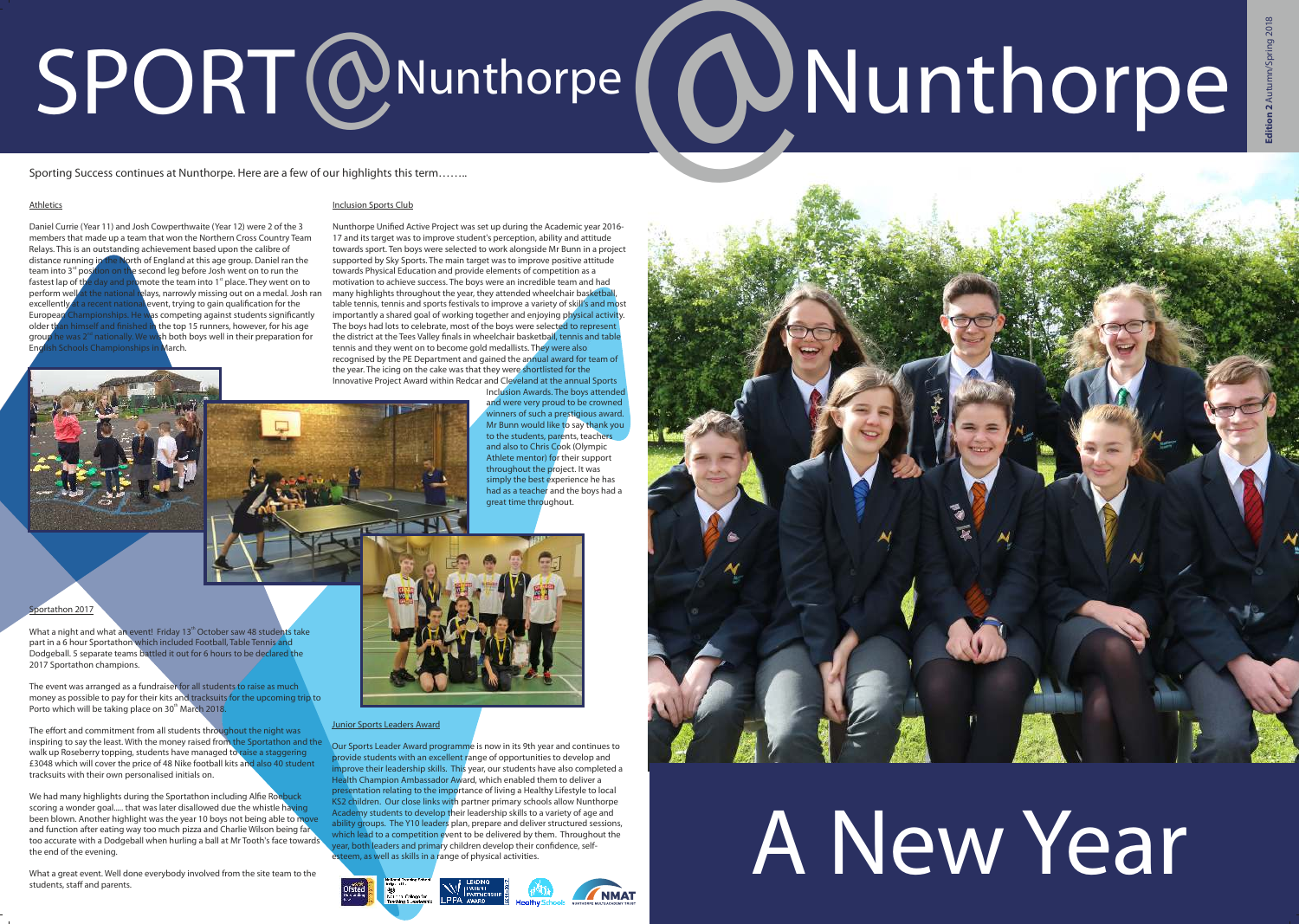

Daniel Currie (Year 11) and Josh Cowperthwaite (Year 12) were 2 of the 3 members that made up a team that won the Northern Cross Country Team Relays. This is an outstanding achievement based upon the calibre of distance running in the North of England at this age group. Daniel ran the team into  $3<sup>rd</sup>$  position on the second leg before Josh went on to run the fastest lap of the day and promote the team into 1<sup>st</sup> place. They went on to perform well at the national relays, narrowly missing out on a medal. Josh r relays, narrowly missing out on a medal. Josh ran excellently at a recent national event, trying to gain qualification for the Furopean Championships. He was competing against students significantly  $\mu$ as competing against students significantly older than himself and finished in the top 15 runners, however, for his age group he was  $2^{nd}$  nationally. We wish both boys well in their preparation for mpionships in March

# SPORT@Nunthorpe ( @Nunthorpe

Sporting Success continues at Nunthorpe. Here are a few of our highlights this term……..

### Athletics

What a night and what an event! Friday 13<sup>th</sup> October saw 48 students take part in a 6 hour Sportathon which included Football, Table Tennis and Dodgeball. 5 separate teams battled it out for 6 hours to be declared the 2017 Sportathon champions.

The event was arranged as a fundraiser for all students to raise as much money as possible to pay for their kits and tracksuits for the upcoming trip to Porto which will be taking place on 30<sup>th</sup> March 2018.

### Sportathon 2017

The effort and commitment from all students throughout the night was inspiring to say the least. With the money raised from the Sportathon and the walk up Roseberry topping, students have managed to raise a staggering £3048 which will cover the price of 48 Nike football kits and also 40 student tracksuits with their own personalised initials on.

We had many highlights during the Sportathon including Alfie Roebuck scoring a wonder goal..... that was later disallowed due the whistle having been blown. Another highlight was the year 10 boys not being able to move and function after eating way too much pizza and Charlie Wilson being far too accurate with a Dodgeball when hurling a ball at Mr Tooth's face towards the end of the evening.

What a great event. Well done everybody involved from the site team to the students, staff and parents.



### Junior Sports Leaders Award

Our Sports Leader Award programme is now in its 9th year and continues to provide students with an excellent range of opportunities to develop and improve their leadership skills. This year, our students have also completed a Health Champion Ambassador Award, which enabled them to deliver a presentation relating to the importance of living a Healthy Lifestyle to local KS2 children. Our close links with partner primary schools allow Nunthorpe Academy students to develop their leadership skills to a variety of age and ability groups. The Y10 leaders plan, prepare and deliver structured sessions, which lead to a competition event to be delivered by them. Throughout the ear, both leaders and primary children develop their confidence, selfteem, as well as skills in a range of physical activities.





### Inclusion Sports Club

Nunthorpe Unified Active Project was set up during the Academic year 2016- 17 and its target was to improve student's perception, ability and attitude towards sport. Ten boys were selected to work alongside Mr Bunn in a project supported by Sky Sports. The main target was to improve positive attitude towards Physical Education and provide elements of competition as a motivation to achieve success. The boys were an incredible team and had many highlights throughout the year, they attended wheelchair basketball table tennis, tennis and sports festivals to improve a variety of skill's and most importantly a shared goal of working together and enjoying physical activity. The boys had lots to celebrate, most of the boys were selected to represent the district at the Tees Valley finals in wheelchair basketball, tennis and table tennis and they went on to become gold medallists. They were also recognised by the PE Department and gained the annual award for team of the year. The icing on the cake was that they were shortlisted for the Innovative Project Award within Redcar and Cleveland at the annual Sports Inclusion Awards. The boys attended

> and were very proud to be crowned winners of such a prestigious award. Mr Bunn would like to say thank you to the students, parents, teachers and also to Chris Cook (Olympic Athlete mentor) for their support throughout the project. It was simply the best experience he has had as a teacher and the boys had a

great time throughout.